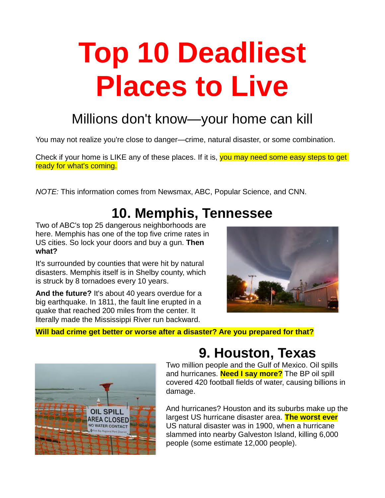# **Top 10 Deadliest Places to Live**

### Millions don't know—your home can kill

You may not realize you're close to danger—crime, natural disaster, or some combination.

Check if your home is LIKE any of these places. If it is, you may need some easy steps to get ready for what's coming.

*NOTE:* This information comes from Newsmax, ABC, Popular Science, and CNN.

### **10. Memphis, Tennessee**

Two of ABC's top 25 dangerous neighborhoods are here. Memphis has one of the top five crime rates in US cities. So lock your doors and buy a gun. **Then what?**

It's surrounded by counties that were hit by natural disasters. Memphis itself is in Shelby county, which is struck by 8 tornadoes every 10 years.

**And the future?** It's about 40 years overdue for a big earthquake. In 1811, the fault line erupted in a quake that reached 200 miles from the center. It literally made the Mississippi River run backward.

#### **Will bad crime get better or worse after a disaster? Are you prepared for that?**



### **9. Houston, Texas**

Two million people and the Gulf of Mexico. Oil spills and hurricanes. **Need I say more?** The BP oil spill covered 420 football fields of water, causing billions in damage.

And hurricanes? Houston and its suburbs make up the largest US hurricane disaster area. **The worst ever** US natural disaster was in 1900, when a hurricane slammed into nearby Galveston Island, killing 6,000 people (some estimate 12,000 people).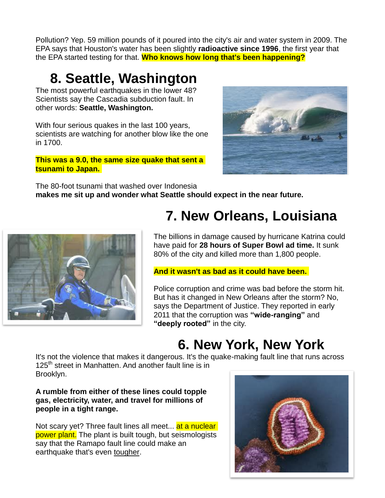Pollution? Yep. 59 million pounds of it poured into the city's air and water system in 2009. The EPA says that Houston's water has been slightly **radioactive since 1996**, the first year that the EPA started testing for that. **Who knows how long that's been happening?**

### **8. Seattle, Washington**

The most powerful earthquakes in the lower 48? Scientists say the Cascadia subduction fault. In other words: **Seattle, Washington.** 

With four serious quakes in the last 100 years, scientists are watching for another blow like the one in 1700.

**This was a 9.0, the same size quake that sent a tsunami to Japan.** 



The 80-foot tsunami that washed over Indonesia **makes me sit up and wonder what Seattle should expect in the near future.**



### **7. New Orleans, Louisiana**

The billions in damage caused by hurricane Katrina could have paid for **28 hours of Super Bowl ad time.** It sunk 80% of the city and killed more than 1,800 people.

#### **And it wasn't as bad as it could have been.**

Police corruption and crime was bad before the storm hit. But has it changed in New Orleans after the storm? No, says the Department of Justice. They reported in early 2011 that the corruption was **"wide-ranging"** and **"deeply rooted"** in the city.

### **6. New York, New York**

It's not the violence that makes it dangerous. It's the quake-making fault line that runs across 125<sup>th</sup> street in Manhatten. And another fault line is in Brooklyn.

#### **A rumble from either of these lines could topple gas, electricity, water, and travel for millions of people in a tight range.**

Not scary yet? Three fault lines all meet... at a nuclear power plant. The plant is built tough, but seismologists say that the Ramapo fault line could make an earthquake that's even tougher.

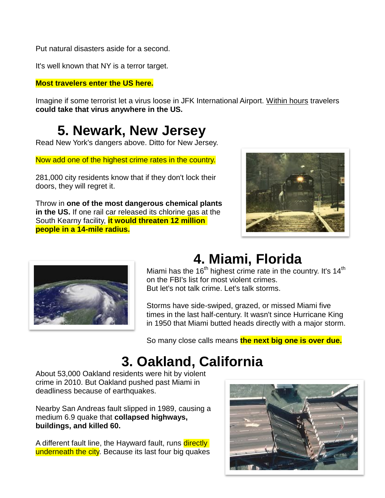Put natural disasters aside for a second.

It's well known that NY is a terror target.

**Most travelers enter the US here.**

Imagine if some terrorist let a virus loose in JFK International Airport. Within hours travelers **could take that virus anywhere in the US.**

#### **5. Newark, New Jersey**

Read New York's dangers above. Ditto for New Jersey.

Now add one of the highest crime rates in the country.

281,000 city residents know that if they don't lock their doors, they will regret it.

Throw in **one of the most dangerous chemical plants in the US.** If one rail car released its chlorine gas at the South Kearny facility, **it would threaten 12 million people in a 14-mile radius.**





## **4. Miami, Florida**

Miami has the 16<sup>th</sup> highest crime rate in the country. It's  $14<sup>th</sup>$ on the FBI's list for most violent crimes. But let's not talk crime. Let's talk storms.

Storms have side-swiped, grazed, or missed Miami five times in the last half-century. It wasn't since Hurricane King in 1950 that Miami butted heads directly with a major storm.

So many close calls means **the next big one is over due.**

### **3. Oakland, California**

About 53,000 Oakland residents were hit by violent crime in 2010. But Oakland pushed past Miami in deadliness because of earthquakes.

Nearby San Andreas fault slipped in 1989, causing a medium 6.9 quake that **collapsed highways, buildings, and killed 60.** 

A different fault line, the Hayward fault, runs **directly** underneath the city. Because its last four big quakes

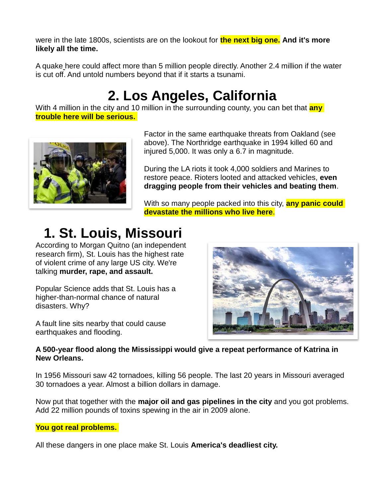were in the late 1800s, scientists are on the lookout for **the next big one. And it's more likely all the time.**

A quake here could affect more than 5 million people directly. Another 2.4 million if the water is cut off. And untold numbers beyond that if it starts a tsunami.

### **2. Los Angeles, California**

With 4 million in the city and 10 million in the surrounding county, you can bet that **any trouble here will be serious.** 



Factor in the same earthquake threats from Oakland (see above). The Northridge earthquake in 1994 killed 60 and injured 5,000. It was only a 6.7 in magnitude.

During the LA riots it took 4,000 soldiers and Marines to restore peace. Rioters looted and attacked vehicles, **even dragging people from their vehicles and beating them**.

With so many people packed into this city, **any panic could devastate the millions who live here**.

### **1. St. Louis, Missouri**

According to Morgan Quitno (an independent research firm), St. Louis has the highest rate of violent crime of any large US city. We're talking **murder, rape, and assault.**

Popular Science adds that St. Louis has a higher-than-normal chance of natural disasters. Why?

A fault line sits nearby that could cause earthquakes and flooding.



#### **A 500-year flood along the Mississippi would give a repeat performance of Katrina in New Orleans.**

In 1956 Missouri saw 42 tornadoes, killing 56 people. The last 20 years in Missouri averaged 30 tornadoes a year. Almost a billion dollars in damage.

Now put that together with the **major oil and gas pipelines in the city** and you got problems. Add 22 million pounds of toxins spewing in the air in 2009 alone.

#### **You got real problems.**

All these dangers in one place make St. Louis **America's deadliest city.**